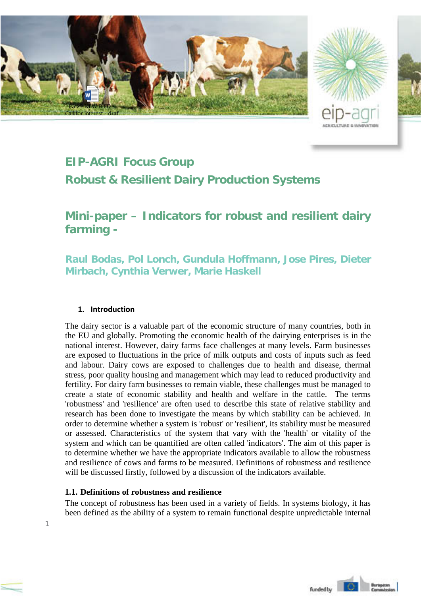

## **EIP-AGRI Focus Group**

**Robust & Resilient Dairy Production Systems**

# **Mini-paper – Indicators for robust and resilient dairy farming -**

**Raul Bodas, Pol Lonch, Gundula Hoffmann, Jose Pires, Dieter Mirbach, Cynthia Verwer, Marie Haskell**

#### **1. Introduction**

1

The dairy sector is a valuable part of the economic structure of many countries, both in the EU and globally. Promoting the economic health of the dairying enterprises is in the national interest. However, dairy farms face challenges at many levels. Farm businesses are exposed to fluctuations in the price of milk outputs and costs of inputs such as feed and labour. Dairy cows are exposed to challenges due to health and disease, thermal stress, poor quality housing and management which may lead to reduced productivity and fertility. For dairy farm businesses to remain viable, these challenges must be managed to create a state of economic stability and health and welfare in the cattle. The terms 'robustness' and 'resilience' are often used to describe this state of relative stability and research has been done to investigate the means by which stability can be achieved. In order to determine whether a system is 'robust' or 'resilient', its stability must be measured or assessed. Characteristics of the system that vary with the 'health' or vitality of the system and which can be quantified are often called 'indicators'. The aim of this paper is to determine whether we have the appropriate indicators available to allow the robustness and resilience of cows and farms to be measured. Definitions of robustness and resilience will be discussed firstly, followed by a discussion of the indicators available.

## **1.1. Definitions of robustness and resilience**

The concept of robustness has been used in a variety of fields. In systems biology, it has been defined as the ability of a system to remain functional despite unpredictable internal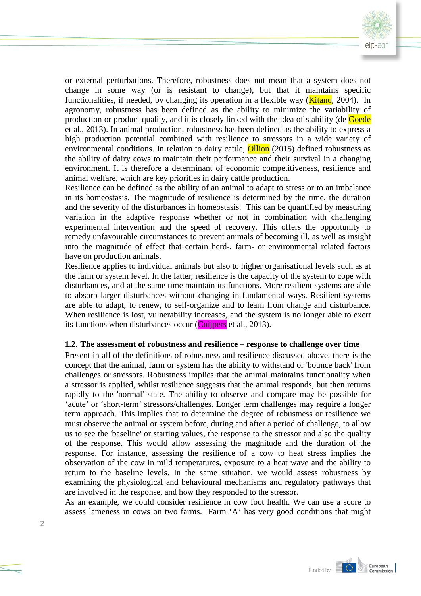

or external perturbations. Therefore, robustness does not mean that a system does not change in some way (or is resistant to change), but that it maintains specific functionalities, if needed, by changing its operation in a flexible way ( $\overline{\text{Kitano}}$ , 2004). In agronomy, robustness has been defined as the ability to minimize the variability of production or product quality, and it is closely linked with the idea of stability (de Goede et al., 2013). In animal production, robustness has been defined as the ability to express a high production potential combined with resilience to stressors in a wide variety of environmental conditions. In relation to dairy cattle, **Ollion** (2015) defined robustness as the ability of dairy cows to maintain their performance and their survival in a changing environment. It is therefore a determinant of economic competitiveness, resilience and animal welfare, which are key priorities in dairy cattle production.

Resilience can be defined as the ability of an animal to adapt to stress or to an imbalance in its homeostasis. The magnitude of resilience is determined by the time, the duration and the severity of the disturbances in homeostasis. This can be quantified by measuring variation in the adaptive response whether or not in combination with challenging experimental intervention and the speed of recovery. This offers the opportunity to remedy unfavourable circumstances to prevent animals of becoming ill, as well as insight into the magnitude of effect that certain herd-, farm- or environmental related factors have on production animals.

Resilience applies to individual animals but also to higher organisational levels such as at the farm or system level. In the latter, resilience is the capacity of the system to cope with disturbances, and at the same time maintain its functions. More resilient systems are able to absorb larger disturbances without changing in fundamental ways. Resilient systems are able to adapt, to renew, to self-organize and to learn from change and disturbance. When resilience is lost, vulnerability increases, and the system is no longer able to exert its functions when disturbances occur ( $\overline{\text{Cuipers}}$  et al., 2013).

#### **1.2. The assessment of robustness and resilience – response to challenge over time**

Present in all of the definitions of robustness and resilience discussed above, there is the concept that the animal, farm or system has the ability to withstand or 'bounce back' from challenges or stressors. Robustness implies that the animal maintains functionality when a stressor is applied, whilst resilience suggests that the animal responds, but then returns rapidly to the 'normal' state. The ability to observe and compare may be possible for 'acute' or 'short-term' stressors/challenges. Longer term challenges may require a longer term approach. This implies that to determine the degree of robustness or resilience we must observe the animal or system before, during and after a period of challenge, to allow us to see the 'baseline' or starting values, the response to the stressor and also the quality of the response. This would allow assessing the magnitude and the duration of the response. For instance, assessing the resilience of a cow to heat stress implies the observation of the cow in mild temperatures, exposure to a heat wave and the ability to return to the baseline levels. In the same situation, we would assess robustness by examining the physiological and behavioural mechanisms and regulatory pathways that are involved in the response, and how they responded to the stressor.

As an example, we could consider resilience in cow foot health. We can use a score to assess lameness in cows on two farms. Farm 'A' has very good conditions that might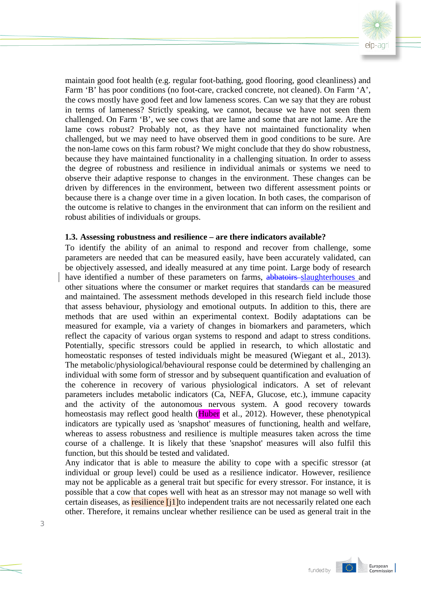

maintain good foot health (e.g. regular foot-bathing, good flooring, good cleanliness) and Farm 'B' has poor conditions (no foot-care, cracked concrete, not cleaned). On Farm 'A', the cows mostly have good feet and low lameness scores. Can we say that they are robust in terms of lameness? Strictly speaking, we cannot, because we have not seen them challenged. On Farm 'B', we see cows that are lame and some that are not lame. Are the lame cows robust? Probably not, as they have not maintained functionality when challenged, but we may need to have observed them in good conditions to be sure. Are the non-lame cows on this farm robust? We might conclude that they do show robustness, because they have maintained functionality in a challenging situation. In order to assess the degree of robustness and resilience in individual animals or systems we need to observe their adaptive response to changes in the environment. These changes can be driven by differences in the environment, between two different assessment points or because there is a change over time in a given location. In both cases, the comparison of the outcome is relative to changes in the environment that can inform on the resilient and robust abilities of individuals or groups.

#### **1.3. Assessing robustness and resilience – are there indicators available?**

To identify the ability of an animal to respond and recover from challenge, some parameters are needed that can be measured easily, have been accurately validated, can be objectively assessed, and ideally measured at any time point. Large body of research have identified a number of these parameters on farms, abbatoirs slaughterhouses and other situations where the consumer or market requires that standards can be measured and maintained. The assessment methods developed in this research field include those that assess behaviour, physiology and emotional outputs. In addition to this, there are methods that are used within an experimental context. Bodily adaptations can be measured for example, via a variety of changes in biomarkers and parameters, which reflect the capacity of various organ systems to respond and adapt to stress conditions. Potentially, specific stressors could be applied in research, to which allostatic and homeostatic responses of tested individuals might be measured (Wiegant et al., 2013). The metabolic/physiological/behavioural response could be determined by challenging an individual with some form of stressor and by subsequent quantification and evaluation of the coherence in recovery of various physiological indicators. A set of relevant parameters includes metabolic indicators (Ca, NEFA, Glucose, etc.), immune capacity and the activity of the autonomous nervous system. A good recovery towards homeostasis may reflect good health (Huber et al., 2012). However, these phenotypical indicators are typically used as 'snapshot' measures of functioning, health and welfare, whereas to assess robustness and resilience is multiple measures taken across the time course of a challenge. It is likely that these 'snapshot' measures will also fulfil this function, but this should be tested and validated.

Any indicator that is able to measure the ability to cope with a specific stressor (at individual or group level) could be used as a resilience indicator. However, resilience may not be applicable as a general trait but specific for every stressor. For instance, it is possible that a cow that copes well with heat as an stressor may not manage so well with certain diseases, as **resilience** [j1] to independent traits are not necessarily related one each other. Therefore, it remains unclear whether resilience can be used as general trait in the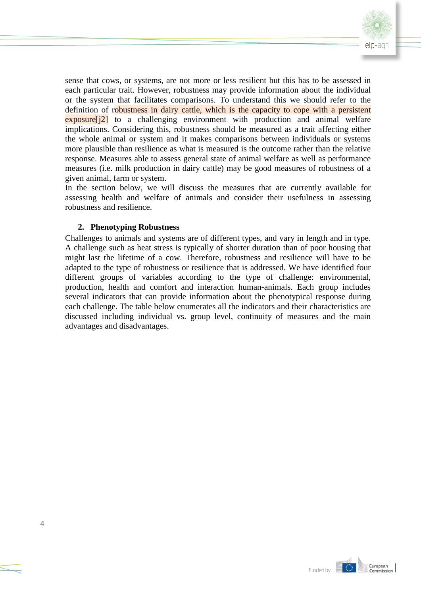

sense that cows, or systems, are not more or less resilient but this has to be assessed in each particular trait. However, robustness may provide information about the individual or the system that facilitates comparisons. To understand this we should refer to the definition of robustness in dairy cattle, which is the capacity to cope with a persistent exposure<sup>[j2]</sup> to a challenging environment with production and animal welfare implications. Considering this, robustness should be measured as a trait affecting either the whole animal or system and it makes comparisons between individuals or systems more plausible than resilience as what is measured is the outcome rather than the relative response. Measures able to assess general state of animal welfare as well as performance measures (i.e. milk production in dairy cattle) may be good measures of robustness of a given animal, farm or system.

In the section below, we will discuss the measures that are currently available for assessing health and welfare of animals and consider their usefulness in assessing robustness and resilience.

#### **2. Phenotyping Robustness**

Challenges to animals and systems are of different types, and vary in length and in type. A challenge such as heat stress is typically of shorter duration than of poor housing that might last the lifetime of a cow. Therefore, robustness and resilience will have to be adapted to the type of robustness or resilience that is addressed. We have identified four different groups of variables according to the type of challenge: environmental, production, health and comfort and interaction human-animals. Each group includes several indicators that can provide information about the phenotypical response during each challenge. The table below enumerates all the indicators and their characteristics are discussed including individual vs. group level, continuity of measures and the main advantages and disadvantages.

IO.

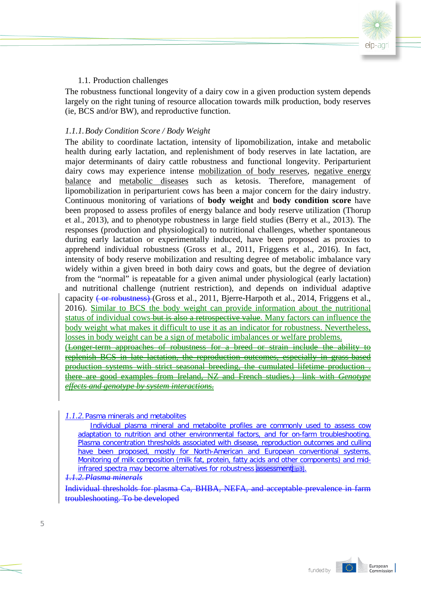

## 1.1. Production challenges

The robustness functional longevity of a dairy cow in a given production system depends largely on the right tuning of resource allocation towards milk production, body reserves (ie, BCS and/or BW), and reproductive function.

## *1.1.1.Body Condition Score / Body Weight*

The ability to coordinate lactation, intensity of lipomobilization, intake and metabolic health during early lactation, and replenishment of body reserves in late lactation, are major determinants of dairy cattle robustness and functional longevity. Periparturient dairy cows may experience intense mobilization of body reserves, negative energy balance and metabolic diseases such as ketosis. Therefore, management of lipomobilization in periparturient cows has been a major concern for the dairy industry. Continuous monitoring of variations of **body weight** and **body condition score** have been proposed to assess profiles of energy balance and body reserve utilization (Thorup et al., 2013), and to phenotype robustness in large field studies (Berry et al., 2013). The responses (production and physiological) to nutritional challenges, whether spontaneous during early lactation or experimentally induced, have been proposed as proxies to apprehend individual robustness (Gross et al., 2011, Friggens et al., 2016). In fact, intensity of body reserve mobilization and resulting degree of metabolic imbalance vary widely within a given breed in both dairy cows and goats, but the degree of deviation from the "normal" is repeatable for a given animal under physiological (early lactation) and nutritional challenge (nutrient restriction), and depends on individual adaptive capacity (or robustness) (Gross et al., 2011, Bjerre-Harpoth et al., 2014, Friggens et al., 2016). Similar to BCS the body weight can provide information about the nutritional status of individual cows but is also a retrospective value. Many factors can influence the body weight what makes it difficult to use it as an indicator for robustness. Nevertheless, losses in body weight can be a sign of metabolic imbalances or welfare problems. (Longer-term approaches of robustness for a breed or strain include the ability to replenish BCS in late lactation, the reproduction outcomes, especially in grass-based production systems with strict seasonal breeding, the cumulated lifetime production . there are good examples from Ireland, NZ and French studies.) link with *Genotype effects and genotype by system interactions.*

#### *1.1.2.*Pasma minerals and metabolites

Individual plasma mineral and metabolite profiles are commonly used to assess cow adaptation to nutrition and other environmental factors, and for on-farm troubleshooting. Plasma concentration thresholds associated with disease, reproduction outcomes and culling have been proposed, mostly for North-American and European conventional systems. Monitoring of milk composition (milk fat, protein, fatty acids and other components) and midinfrared spectra may become alternatives for robustness assessment [jp3].

#### *1.1.2.Plasma minerals*

Individual thresholds for plasma Ca, BHBA, NEFA, and acceptable prevalence in farm troubleshooting. To be developed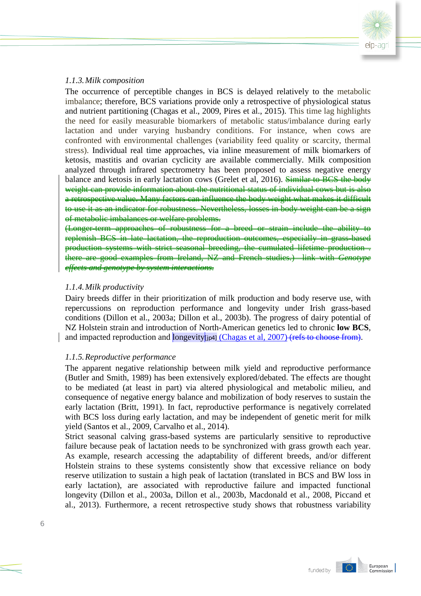

#### *1.1.3.Milk composition*

The occurrence of perceptible changes in BCS is delayed relatively to the metabolic imbalance; therefore, BCS variations provide only a retrospective of physiological status and nutrient partitioning (Chagas et al., 2009, Pires et al., 2015). This time lag highlights the need for easily measurable biomarkers of metabolic status/imbalance during early lactation and under varying husbandry conditions. For instance, when cows are confronted with environmental challenges (variability feed quality or scarcity, thermal stress). Individual real time approaches, via inline measurement of milk biomarkers of ketosis, mastitis and ovarian cyclicity are available commercially. Milk composition analyzed through infrared spectrometry has been proposed to assess negative energy balance and ketosis in early lactation cows (Grelet et al, 2016). Similar to BCS the body weight can provide information about the nutritional status of individual cows but is also a retrospective value. Many factors can influence the body weight what makes it difficult to use it as an indicator for robustness. Nevertheless, losses in body weight can be a sign of metabolic imbalances or welfare problems.

(Longer-term approaches of robustness for a breed or strain include the ability to replenish BCS in late lactation, the reproduction outcomes, especially in grass-based production systems with strict seasonal breeding, the cumulated lifetime production . there are good examples from Ireland, NZ and French studies.) link with *effects and genotype by system interactions.*

## *1.1.4.Milk productivity*

Dairy breeds differ in their prioritization of milk production and body reserve use, with repercussions on reproduction performance and longevity under Irish grass-based conditions (Dillon et al., 2003a; Dillon et al., 2003b). The progress of dairy potential of NZ Holstein strain and introduction of North-American genetics led to chronic **low BCS**, and impacted reproduction and longevity  $\left| \rho_4 \right|$  (Chagas et al, 2007) (refs to choose from).

## *1.1.5.Reproductive performance*

The apparent negative relationship between milk yield and reproductive performance (Butler and Smith, 1989) has been extensively explored/debated. The effects are thought to be mediated (at least in part) via altered physiological and metabolic milieu, and consequence of negative energy balance and mobilization of body reserves to sustain the early lactation (Britt, 1991). In fact, reproductive performance is negatively correlated with BCS loss during early lactation, and may be independent of genetic merit for milk yield (Santos et al., 2009, Carvalho et al., 2014).

Strict seasonal calving grass-based systems are particularly sensitive to reproductive failure because peak of lactation needs to be synchronized with grass growth each year. As example, research accessing the adaptability of different breeds, and/or different Holstein strains to these systems consistently show that excessive reliance on body reserve utilization to sustain a high peak of lactation (translated in BCS and BW loss in early lactation), are associated with reproductive failure and impacted functional longevity (Dillon et al., 2003a, Dillon et al., 2003b, Macdonald et al., 2008, Piccand et al., 2013). Furthermore, a recent retrospective study shows that robustness variability

IO.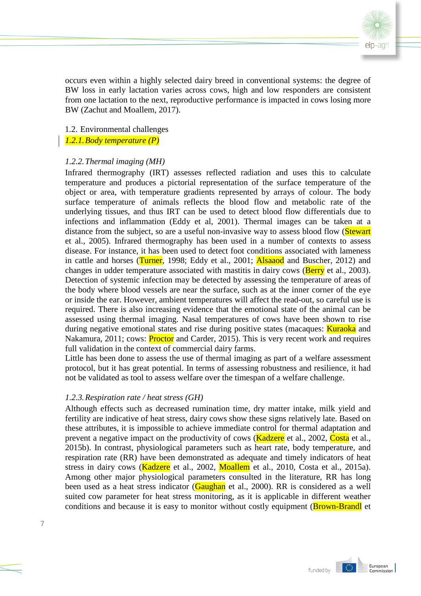

occurs even within a highly selected dairy breed in conventional systems: the degree of BW loss in early lactation varies across cows, high and low responders are consistent from one lactation to the next, reproductive performance is impacted in cows losing more BW (Zachut and Moallem, 2017).

1.2. Environmental challenges

*1.2.1.Body temperature (P)*

## *1.2.2.Thermal imaging (MH)*

Infrared thermography (IRT) assesses reflected radiation and uses this to calculate temperature and produces a pictorial representation of the surface temperature of the object or area, with temperature gradients represented by arrays of colour. The body surface temperature of animals reflects the blood flow and metabolic rate of the underlying tissues, and thus IRT can be used to detect blood flow differentials due to infections and inflammation (Eddy et al, 2001). Thermal images can be taken at a distance from the subject, so are a useful non-invasive way to assess blood flow (Stewart et al., 2005). Infrared thermography has been used in a number of contexts to assess disease. For instance, it has been used to detect foot conditions associated with lameness in cattle and horses (Turner, 1998; Eddy et al., 2001; Alsaaod and Buscher, 2012) and changes in udder temperature associated with mastitis in dairy cows (**Berry** et al., 2003). Detection of systemic infection may be detected by assessing the temperature of areas of the body where blood vessels are near the surface, such as at the inner corner of the eye or inside the ear. However, ambient temperatures will affect the read-out, so careful use is required. There is also increasing evidence that the emotional state of the animal can be assessed using thermal imaging. Nasal temperatures of cows have been shown to rise during negative emotional states and rise during positive states (macaques: **Kuraoka** and Nakamura, 2011; cows: **Proctor** and Carder, 2015). This is very recent work and requires full validation in the context of commercial dairy farms.

Little has been done to assess the use of thermal imaging as part of a welfare assessment protocol, but it has great potential. In terms of assessing robustness and resilience, it had not be validated as tool to assess welfare over the timespan of a welfare challenge.

## *1.2.3.Respiration rate / heat stress (GH)*

Although effects such as decreased rumination time, dry matter intake, milk yield and fertility are indicative of heat stress, dairy cows show these signs relatively late. Based on these attributes, it is impossible to achieve immediate control for thermal adaptation and prevent a negative impact on the productivity of cows (**Kadzere** et al., 2002, Costa et al., 2015b). In contrast, physiological parameters such as heart rate, body temperature, and respiration rate (RR) have been demonstrated as adequate and timely indicators of heat stress in dairy cows (Kadzere et al., 2002, Moallem et al., 2010, Costa et al., 2015a). Among other major physiological parameters consulted in the literature, RR has long been used as a heat stress indicator (**Gaughan** et al., 2000). RR is considered as a well suited cow parameter for heat stress monitoring, as it is applicable in different weather conditions and because it is easy to monitor without costly equipment (**Brown-Brandl** et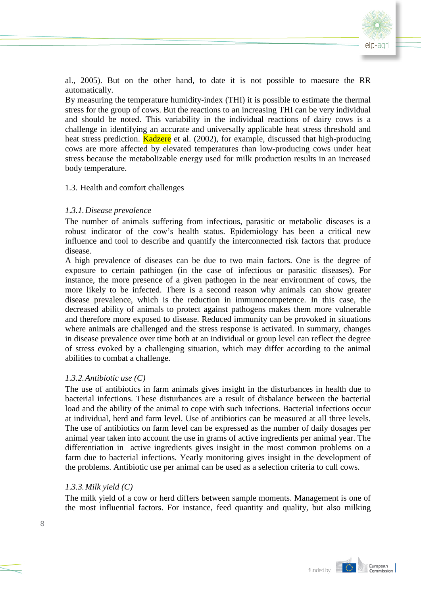

al., 2005). But on the other hand, to date it is not possible to maesure the RR automatically.

By measuring the temperature humidity-index (THI) it is possible to estimate the thermal stress for the group of cows. But the reactions to an increasing THI can be very individual and should be noted. This variability in the individual reactions of dairy cows is a challenge in identifying an accurate and universally applicable heat stress threshold and heat stress prediction. **Kadzere** et al. (2002), for example, discussed that high-producing cows are more affected by elevated temperatures than low-producing cows under heat stress because the metabolizable energy used for milk production results in an increased body temperature.

#### 1.3. Health and comfort challenges

## *1.3.1.Disease prevalence*

The number of animals suffering from infectious, parasitic or metabolic diseases is a robust indicator of the cow's health status. Epidemiology has been a critical new influence and tool to describe and quantify the interconnected risk factors that produce disease.

A high prevalence of diseases can be due to two main factors. One is the degree of exposure to certain pathiogen (in the case of infectious or parasitic diseases). For instance, the more presence of a given pathogen in the near environment of cows, the more likely to be infected. There is a second reason why animals can show greater disease prevalence, which is the reduction in immunocompetence. In this case, the decreased ability of animals to protect against pathogens makes them more vulnerable and therefore more exposed to disease. Reduced immunity can be provoked in situations where animals are challenged and the stress response is activated. In summary, changes in disease prevalence over time both at an individual or group level can reflect the degree of stress evoked by a challenging situation, which may differ according to the animal abilities to combat a challenge.

## *1.3.2.Antibiotic use (C)*

The use of antibiotics in farm animals gives insight in the disturbances in health due to bacterial infections. These disturbances are a result of disbalance between the bacterial load and the ability of the animal to cope with such infections. Bacterial infections occur at individual, herd and farm level. Use of antibiotics can be measured at all three levels. The use of antibiotics on farm level can be expressed as the number of daily dosages per animal year taken into account the use in grams of active ingredients per animal year. The differentiation in active ingredients gives insight in the most common problems on a farm due to bacterial infections. Yearly monitoring gives insight in the development of the problems. Antibiotic use per animal can be used as a selection criteria to cull cows.

#### *1.3.3.Milk yield (C)*

The milk yield of a cow or herd differs between sample moments. Management is one of the most influential factors. For instance, feed quantity and quality, but also milking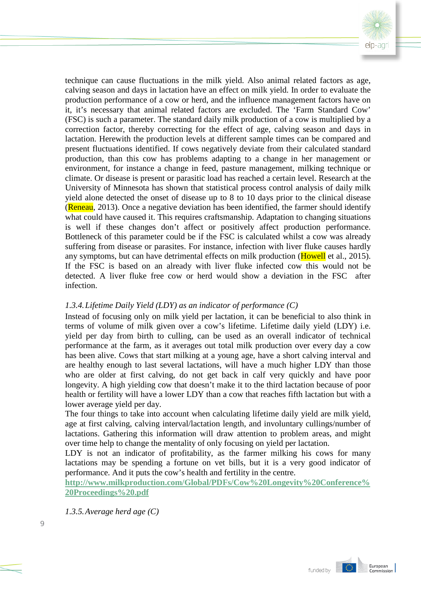

technique can cause fluctuations in the milk yield. Also animal related factors as age, calving season and days in lactation have an effect on milk yield. In order to evaluate the production performance of a cow or herd, and the influence management factors have on it, it's necessary that animal related factors are excluded. The 'Farm Standard Cow' (FSC) is such a parameter. The standard daily milk production of a cow is multiplied by a correction factor, thereby correcting for the effect of age, calving season and days in lactation. Herewith the production levels at different sample times can be compared and present fluctuations identified. If cows negatively deviate from their calculated standard production, than this cow has problems adapting to a change in her management or environment, for instance a change in feed, pasture management, milking technique or climate. Or disease is present or parasitic load has reached a certain level. Research at the University of Minnesota has shown that statistical process control analysis of daily milk yield alone detected the onset of disease up to 8 to 10 days prior to the clinical disease ( $\frac{Reneau}{2013}$ ). Once a negative deviation has been identified, the farmer should identify what could have caused it. This requires craftsmanship. Adaptation to changing situations is well if these changes don't affect or positively affect production performance. Bottleneck of this parameter could be if the FSC is calculated whilst a cow was already suffering from disease or parasites. For instance, infection with liver fluke causes hardly any symptoms, but can have detrimental effects on milk production (Howell et al., 2015). If the FSC is based on an already with liver fluke infected cow this would not be detected. A liver fluke free cow or herd would show a deviation in the FSC after infection.

## *1.3.4.Lifetime Daily Yield (LDY) as an indicator of performance (C)*

Instead of focusing only on milk yield per lactation, it can be beneficial to also think in terms of volume of milk given over a cow's lifetime. Lifetime daily yield (LDY) i.e. yield per day from birth to culling, can be used as an overall indicator of technical performance at the farm, as it averages out total milk production over every day a cow has been alive. Cows that start milking at a young age, have a short calving interval and are healthy enough to last several lactations, will have a much higher LDY than those who are older at first calving, do not get back in calf very quickly and have poor longevity. A high yielding cow that doesn't make it to the third lactation because of poor health or fertility will have a lower LDY than a cow that reaches fifth lactation but with a lower average yield per day.

The four things to take into account when calculating lifetime daily yield are milk yield, age at first calving, calving interval/lactation length, and involuntary cullings/number of lactations. Gathering this information will draw attention to problem areas, and might over time help to change the mentality of only focusing on yield per lactation.

LDY is not an indicator of profitability, as the farmer milking his cows for many lactations may be spending a fortune on vet bills, but it is a very good indicator of performance. And it puts the cow's health and fertility in the centre.

**[http://www.milkproduction.com/Global/PDFs/Cow%20Longevity%20Conference%](http://www.milkproduction.com/Global/PDFs/Cow%20Longevity%20Conference%20Proceedings%20.pdf) [20Proceedings%20.pdf](http://www.milkproduction.com/Global/PDFs/Cow%20Longevity%20Conference%20Proceedings%20.pdf)**

*1.3.5.Average herd age (C)*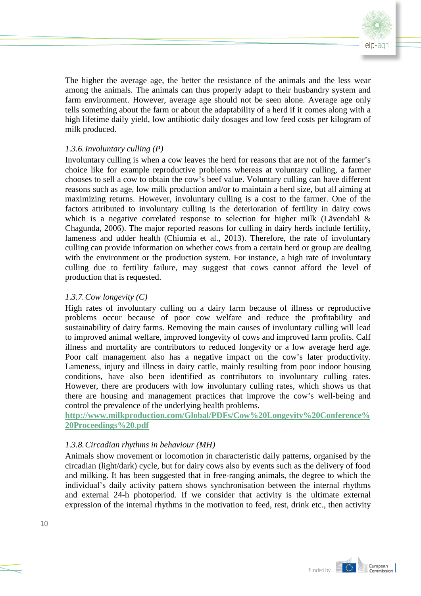

The higher the average age, the better the resistance of the animals and the less wear among the animals. The animals can thus properly adapt to their husbandry system and farm environment. However, average age should not be seen alone. Average age only tells something about the farm or about the adaptability of a herd if it comes along with a high lifetime daily yield, low antibiotic daily dosages and low feed costs per kilogram of milk produced.

#### *1.3.6.Involuntary culling (P)*

Involuntary culling is when a cow leaves the herd for reasons that are not of the farmer's choice like for example reproductive problems whereas at voluntary culling, a farmer chooses to sell a cow to obtain the cow's beef value. Voluntary culling can have different reasons such as age, low milk production and/or to maintain a herd size, but all aiming at maximizing returns. However, involuntary culling is a cost to the farmer. One of the factors attributed to involuntary culling is the deterioration of fertility in dairy cows which is a negative correlated response to selection for higher milk (Lãvendahl & Chagunda, 2006). The major reported reasons for culling in dairy herds include fertility, lameness and udder health (Chiumia et al., 2013). Therefore, the rate of involuntary culling can provide information on whether cows from a certain herd or group are dealing with the environment or the production system. For instance, a high rate of involuntary culling due to fertility failure, may suggest that cows cannot afford the level of production that is requested.

#### *1.3.7.Cow longevity (C)*

High rates of involuntary culling on a dairy farm because of illness or reproductive problems occur because of poor cow welfare and reduce the profitability and sustainability of dairy farms. Removing the main causes of involuntary culling will lead to improved animal welfare, improved longevity of cows and improved farm profits. Calf illness and mortality are contributors to reduced longevity or a low average herd age. Poor calf management also has a negative impact on the cow's later productivity. Lameness, injury and illness in dairy cattle, mainly resulting from poor indoor housing conditions, have also been identified as contributors to involuntary culling rates. However, there are producers with low involuntary culling rates, which shows us that there are housing and management practices that improve the cow's well-being and control the prevalence of the underlying health problems.

**[http://www.milkproduction.com/Global/PDFs/Cow%20Longevity%20Conference%](http://www.milkproduction.com/Global/PDFs/Cow%20Longevity%20Conference%20Proceedings%20.pdf) [20Proceedings%20.pdf](http://www.milkproduction.com/Global/PDFs/Cow%20Longevity%20Conference%20Proceedings%20.pdf)**

## *1.3.8.Circadian rhythms in behaviour (MH)*

Animals show movement or locomotion in characteristic daily patterns, organised by the circadian (light/dark) cycle, but for dairy cows also by events such as the delivery of food and milking. It has been suggested that in free-ranging animals, the degree to which the individual's daily activity pattern shows synchronisation between the internal rhythms and external 24-h photoperiod. If we consider that activity is the ultimate external expression of the internal rhythms in the motivation to feed, rest, drink etc., then activity

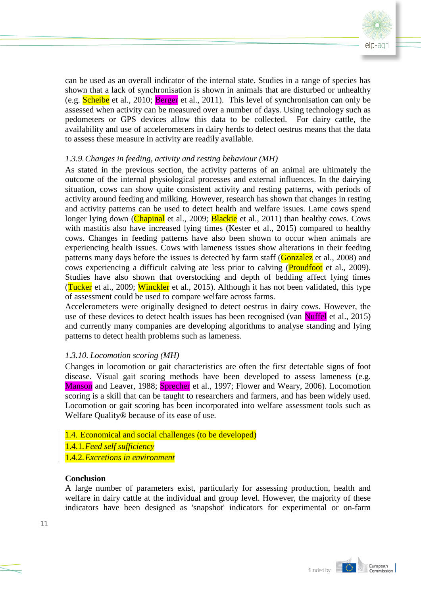

can be used as an overall indicator of the internal state. Studies in a range of species has shown that a lack of synchronisation is shown in animals that are disturbed or unhealthy (e.g. Scheibe et al., 2010; Berger et al., 2011). This level of synchronisation can only be assessed when activity can be measured over a number of days. Using technology such as pedometers or GPS devices allow this data to be collected. For dairy cattle, the availability and use of accelerometers in dairy herds to detect oestrus means that the data to assess these measure in activity are readily available.

## *1.3.9.Changes in feeding, activity and resting behaviour (MH)*

As stated in the previous section, the activity patterns of an animal are ultimately the outcome of the internal physiological processes and external influences. In the dairying situation, cows can show quite consistent activity and resting patterns, with periods of activity around feeding and milking. However, research has shown that changes in resting and activity patterns can be used to detect health and welfare issues. Lame cows spend longer lying down (Chapinal et al., 2009; Blackie et al., 2011) than healthy cows. Cows with mastitis also have increased lying times (Kester et al., 2015) compared to healthy cows. Changes in feeding patterns have also been shown to occur when animals are experiencing health issues. Cows with lameness issues show alterations in their feeding patterns many days before the issues is detected by farm staff (Gonzalez et al., 2008) and cows experiencing a difficult calving ate less prior to calving (Proudfoot et al., 2009). Studies have also shown that overstocking and depth of bedding affect lying times (Tucker et al., 2009; Winckler et al., 2015). Although it has not been validated, this type of assessment could be used to compare welfare across farms.

Accelerometers were originally designed to detect oestrus in dairy cows. However, the use of these devices to detect health issues has been recognised (van Nuffel et al., 2015) and currently many companies are developing algorithms to analyse standing and lying patterns to detect health problems such as lameness.

## *1.3.10. Locomotion scoring (MH)*

Changes in locomotion or gait characteristics are often the first detectable signs of foot disease. Visual gait scoring methods have been developed to assess lameness (e.g. Manson and Leaver, 1988; Sprecher et al., 1997; Flower and Weary, 2006). Locomotion scoring is a skill that can be taught to researchers and farmers, and has been widely used. Locomotion or gait scoring has been incorporated into welfare assessment tools such as Welfare Quality® because of its ease of use.

- 1.4. Economical and social challenges (to be developed)
- 1.4.1.*Feed self sufficiency*
- 1.4.2.*Excretions in environment*

#### **Conclusion**

A large number of parameters exist, particularly for assessing production, health and welfare in dairy cattle at the individual and group level. However, the majority of these indicators have been designed as 'snapshot' indicators for experimental or on-farm

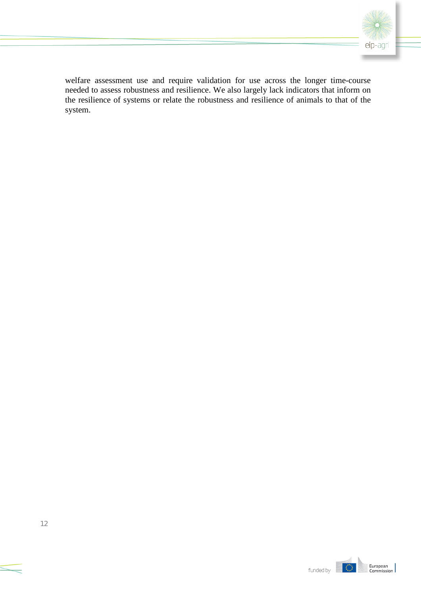

welfare assessment use and require validation for use across the longer time-course needed to assess robustness and resilience. We also largely lack indicators that inform on the resilience of systems or relate the robustness and resilience of animals to that of the system.

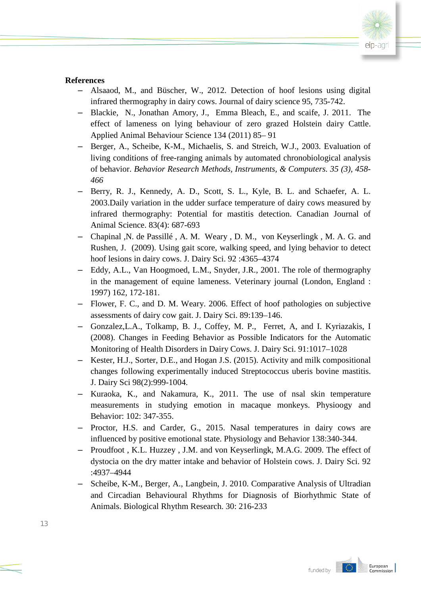

#### **References**

- ‒ Alsaaod, M., and Büscher, W., 2012. Detection of hoof lesions using digital infrared thermography in dairy cows. Journal of dairy science 95, 735-742.
- ‒ Blackie, N., Jonathan Amory, J., Emma Bleach, E., and scaife, J. 2011. The effect of lameness on lying behaviour of zero grazed Holstein dairy Cattle. Applied Animal Behaviour Science 134 (2011) 85– 91
- ‒ Berger, A., Scheibe, K-M., Michaelis, S. and Streich, W.J., 2003. Evaluation of living conditions of free-ranging animals by automated chronobiological analysis of behavior. *Behavior Research Methods, Instruments, & Computers. 35 (3), 458- 466*
- Berry, R. J., Kennedy, A. D., Scott, S. L., Kyle, B. L. and Schaefer, A. L. 2003.Daily variation in the udder surface temperature of dairy cows measured by infrared thermography: Potential for mastitis detection. Canadian Journal of Animal Science. 83(4): 687-693
- ‒ Chapinal ,N. de Passillé , A. M. Weary , D. M., von Keyserlingk , M. A. G. and Rushen, J. (2009). Using gait score, walking speed, and lying behavior to detect hoof lesions in dairy cows. J. Dairy Sci. 92 :4365–4374
- ‒ Eddy, A.L., Van Hoogmoed, L.M., Snyder, J.R., 2001. The role of thermography in the management of equine lameness. Veterinary journal (London, England : 1997) 162, 172-181.
- ‒ Flower, F. C., and D. M. Weary. 2006. Effect of hoof pathologies on subjective assessments of dairy cow gait. J. Dairy Sci. 89:139–146.
- ‒ Gonzalez,L.A., Tolkamp, B. J., Coffey, M. P., Ferret, A, and I. Kyriazakis, I (2008). Changes in Feeding Behavior as Possible Indicators for the Automatic Monitoring of Health Disorders in Dairy Cows. J. Dairy Sci. 91:1017–1028
- ‒ Kester, H.J., Sorter, D.E., and Hogan J.S. (2015). Activity and milk compositional changes following experimentally induced Streptococcus uberis bovine mastitis. J. Dairy Sci 98(2):999-1004.
- ‒ Kuraoka, K., and Nakamura, K., 2011. The use of nsal skin temperature measurements in studying emotion in macaque monkeys. Physioogy and Behavior: 102: 347-355.
- ‒ Proctor, H.S. and Carder, G., 2015. Nasal temperatures in dairy cows are influenced by positive emotional state. Physiology and Behavior 138:340-344.
- ‒ Proudfoot , K.L. Huzzey , J.M. and von Keyserlingk, M.A.G. 2009. The effect of dystocia on the dry matter intake and behavior of Holstein cows. J. Dairy Sci. 92 :4937–4944
- ‒ Scheibe, K-M., Berger, A., Langbein, J. 2010. Comparative Analysis of Ultradian and Circadian Behavioural Rhythms for Diagnosis of Biorhythmic State of Animals. Biological Rhythm Research. 30: 216-233

I O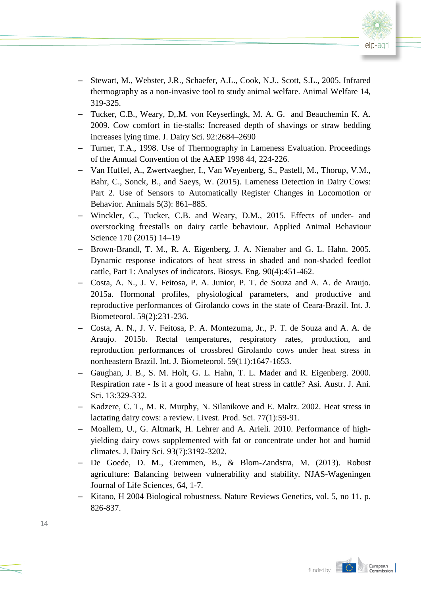

- ‒ Stewart, M., Webster, J.R., Schaefer, A.L., Cook, N.J., Scott, S.L., 2005. Infrared thermography as a non-invasive tool to study animal welfare. Animal Welfare 14, 319-325.
- ‒ Tucker, C.B., Weary, D,.M. von Keyserlingk, M. A. G. and Beauchemin K. A. 2009. Cow comfort in tie-stalls: Increased depth of shavings or straw bedding increases lying time. J. Dairy Sci. 92:2684–2690
- ‒ Turner, T.A., 1998. Use of Thermography in Lameness Evaluation. Proceedings of the Annual Convention of the AAEP 1998 44, 224-226.
- ‒ Van Huffel, A., Zwertvaegher, I., Van Weyenberg, S., Pastell, M., Thorup, V.M., Bahr, C., Sonck, B., and Saeys, W. (2015). Lameness Detection in Dairy Cows: Part 2. Use of Sensors to Automatically Register Changes in Locomotion or Behavior. Animals 5(3): 861–885.
- ‒ Winckler, C., Tucker, C.B. and Weary, D.M., 2015. Effects of under- and overstocking freestalls on dairy cattle behaviour. Applied Animal Behaviour Science 170 (2015) 14–19
- ‒ Brown-Brandl, T. M., R. A. Eigenberg, J. A. Nienaber and G. L. Hahn. 2005. Dynamic response indicators of heat stress in shaded and non-shaded feedlot cattle, Part 1: Analyses of indicators. Biosys. Eng. 90(4):451-462.
- ‒ Costa, A. N., J. V. Feitosa, P. A. Junior, P. T. de Souza and A. A. de Araujo. 2015a. Hormonal profiles, physiological parameters, and productive and reproductive performances of Girolando cows in the state of Ceara-Brazil. Int. J. Biometeorol. 59(2):231-236.
- ‒ Costa, A. N., J. V. Feitosa, P. A. Montezuma, Jr., P. T. de Souza and A. A. de Araujo. 2015b. Rectal temperatures, respiratory rates, production, and reproduction performances of crossbred Girolando cows under heat stress in northeastern Brazil. Int. J. Biometeorol. 59(11):1647-1653.
- ‒ Gaughan, J. B., S. M. Holt, G. L. Hahn, T. L. Mader and R. Eigenberg. 2000. Respiration rate - Is it a good measure of heat stress in cattle? Asi. Austr. J. Ani. Sci. 13:329-332.
- ‒ Kadzere, C. T., M. R. Murphy, N. Silanikove and E. Maltz. 2002. Heat stress in lactating dairy cows: a review. Livest. Prod. Sci. 77(1):59-91.
- ‒ Moallem, U., G. Altmark, H. Lehrer and A. Arieli. 2010. Performance of highyielding dairy cows supplemented with fat or concentrate under hot and humid climates. J. Dairy Sci. 93(7):3192-3202.
- ‒ De Goede, D. M., Gremmen, B., & Blom-Zandstra, M. (2013). Robust agriculture: Balancing between vulnerability and stability. NJAS-Wageningen Journal of Life Sciences, 64, 1-7.
- ‒ Kitano, H 2004 Biological robustness. Nature Reviews Genetics, vol. 5, no 11, p. 826-837.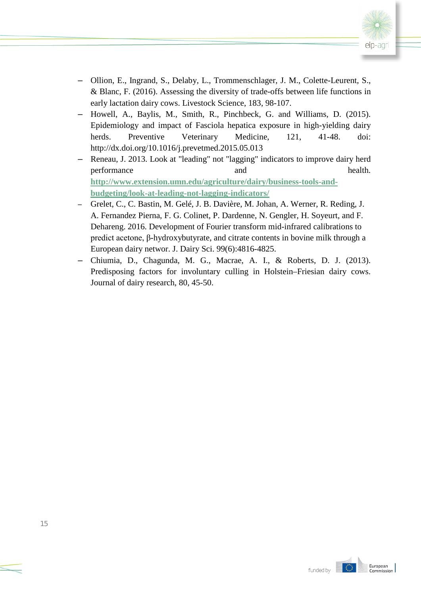

- ‒ Ollion, E., Ingrand, S., Delaby, L., Trommenschlager, J. M., Colette-Leurent, S., & Blanc, F. (2016). Assessing the diversity of trade-offs between life functions in early lactation dairy cows. Livestock Science, 183, 98-107.
- ‒ Howell, A., Baylis, M., Smith, R., Pinchbeck, G. and Williams, D. (2015). Epidemiology and impact of Fasciola hepatica exposure in high-yielding dairy herds. Preventive Veterinary Medicine, 121, 41-48. doi: http://dx.doi.org/10.1016/j.prevetmed.2015.05.013
- ‒ Reneau, J. 2013. Look at "leading" not "lagging" indicators to improve dairy herd performance and health. **[http://www.extension.umn.edu/agriculture/dairy/business-tools-and](http://www.extension.umn.edu/agriculture/dairy/business-tools-and-budgeting/look-at-leading-not-lagging-indicators/)[budgeting/look-at-leading-not-lagging-indicators/](http://www.extension.umn.edu/agriculture/dairy/business-tools-and-budgeting/look-at-leading-not-lagging-indicators/)**
- ‒ Grelet, C., C. Bastin, M. Gelé, J. B. Davière, M. Johan, A. Werner, R. Reding, J. A. Fernandez Pierna, F. G. Colinet, P. Dardenne, N. Gengler, H. Soyeurt, and F. Dehareng. 2016. Development of Fourier transform mid-infrared calibrations to predict acetone, β-hydroxybutyrate, and citrate contents in bovine milk through a European dairy networ. J. Dairy Sci. 99(6):4816-4825.
- ‒ Chiumia, D., Chagunda, M. G., Macrae, A. I., & Roberts, D. J. (2013). Predisposing factors for involuntary culling in Holstein–Friesian dairy cows. Journal of dairy research, 80, 45-50.